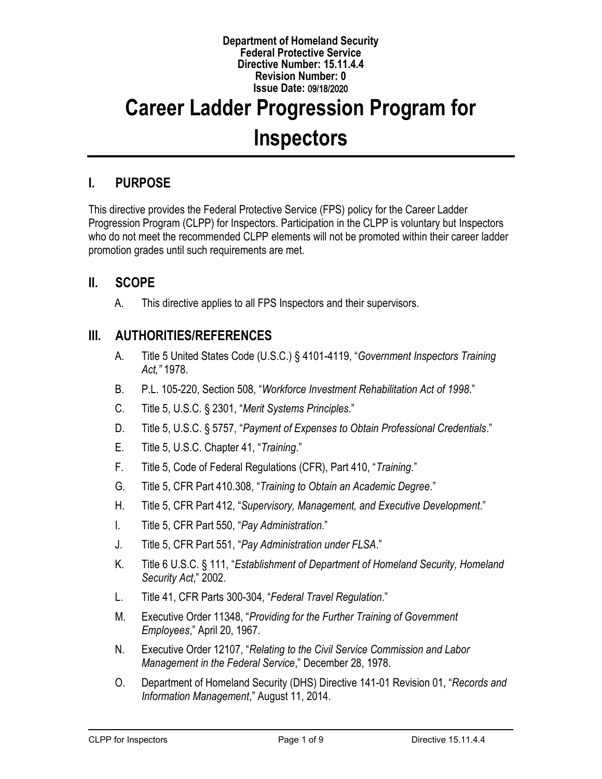#### **Department of Homeland Security Federal Protective Service Directive Number: 15.11.4.4 Revision Number: 0 Issue Date:** 09**/**18**/**2020

# **Career Ladder Progression Program for Inspectors**

# **I. PURPOSE**

This directive provides the Federal Protective Service (FPS) policy for the Career Ladder Progression Program (CLPP) for Inspectors. Participation in the CLPP is voluntary but Inspectors who do not meet the recommended CLPP elements will not be promoted within their career ladder promotion grades until such requirements are met.

## **II. SCOPE**

A. This directive applies to all FPS Inspectors and their supervisors.

## **III. AUTHORITIES/REFERENCES**

- A. Title 5 United States Code (U.S.C.) § 4101-4119, "*Government Inspectors Training Act,"* 1978.
- B. P.L. 105-220, Section 508, "*Workforce Investment Rehabilitation Act of 1998*."
- C. Title 5, U.S.C. § 2301, "*Merit Systems Principles*."
- D. Title 5, U.S.C. § 5757, "*Payment of Expenses to Obtain Professional Credentials*."
- E. Title 5, U.S.C. Chapter 41, "*Training*."
- F. Title 5, Code of Federal Regulations (CFR), Part 410, "*Training*."
- G. Title 5, CFR Part 410.308, "*Training to Obtain an Academic Degree*."
- H. Title 5, CFR Part 412, "*Supervisory, Management, and Executive Development*."
- I. Title 5, CFR Part 550, "*Pay Administration*."
- J. Title 5, CFR Part 551, "*Pay Administration under FLSA*."
- K. Title 6 U.S.C. § 111, "*Establishment of Department of Homeland Security, Homeland Security Act*," 2002.
- L. Title 41, CFR Parts 300-304, "*Federal Travel Regulation*."
- M. Executive Order 11348, "*Providing for the Further Training of Government Employees*," April 20, 1967.
- N. Executive Order 12107, "*Relating to the Civil Service Commission and Labor Management in the Federal Service*," December 28, 1978.
- O. Department of Homeland Security (DHS) Directive 141-01 Revision 01, "*Records and Information Management*," August 11, 2014.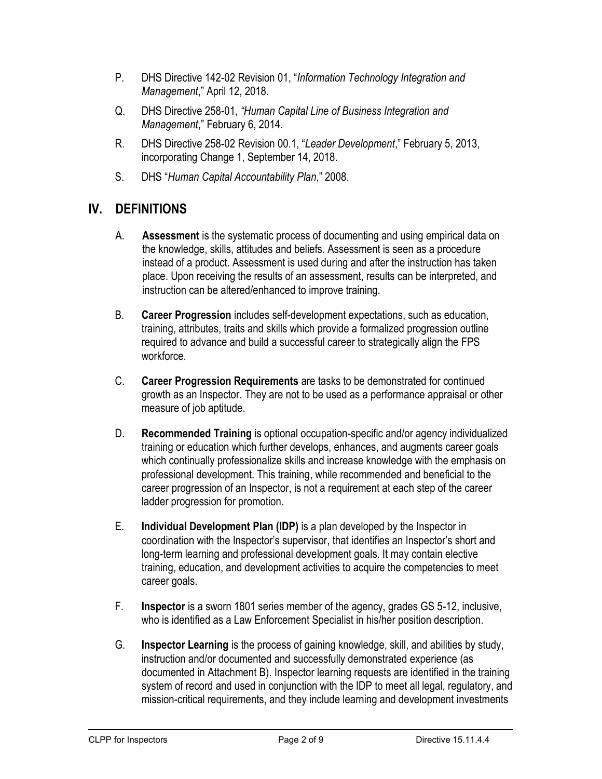- P. DHS Directive 142-02 Revision 01, "*Information Technology Integration and Management*," April 12, 2018.
- Q. DHS Directive 258-01, *"Human Capital Line of Business Integration and Management*," February 6, 2014.
- R. DHS Directive 258-02 Revision 00.1, "*Leader Development*," February 5, 2013, incorporating Change 1, September 14, 2018.
- S. DHS "*Human Capital Accountability Plan*," 2008.

# **IV. DEFINITIONS**

- A. **Assessment** is the systematic process of documenting and using empirical data on the knowledge, skills, attitudes and beliefs. Assessment is seen as a procedure instead of a product. Assessment is used during and after the instruction has taken place. Upon receiving the results of an assessment, results can be interpreted, and instruction can be altered/enhanced to improve training.
- B. **Career Progression** includes self-development expectations, such as education, training, attributes, traits and skills which provide a formalized progression outline required to advance and build a successful career to strategically align the FPS workforce.
- C. **Career Progression Requirements** are tasks to be demonstrated for continued growth as an Inspector. They are not to be used as a performance appraisal or other measure of job aptitude.
- D. **Recommended Training** is optional occupation-specific and/or agency individualized training or education which further develops, enhances, and augments career goals which continually professionalize skills and increase knowledge with the emphasis on professional development. This training, while recommended and beneficial to the career progression of an Inspector, is not a requirement at each step of the career ladder progression for promotion.
- E. **Individual Development Plan (IDP)** is a plan developed by the Inspector in coordination with the Inspector's supervisor, that identifies an Inspector's short and long-term learning and professional development goals. It may contain elective training, education, and development activities to acquire the competencies to meet career goals.
- F. **Inspector** is a sworn 1801 series member of the agency, grades GS 5-12, inclusive, who is identified as a Law Enforcement Specialist in his/her position description.
- G. **Inspector Learning** is the process of gaining knowledge, skill, and abilities by study, instruction and/or documented and successfully demonstrated experience (as documented in Attachment B). Inspector learning requests are identified in the training system of record and used in conjunction with the IDP to meet all legal, regulatory, and mission-critical requirements, and they include learning and development investments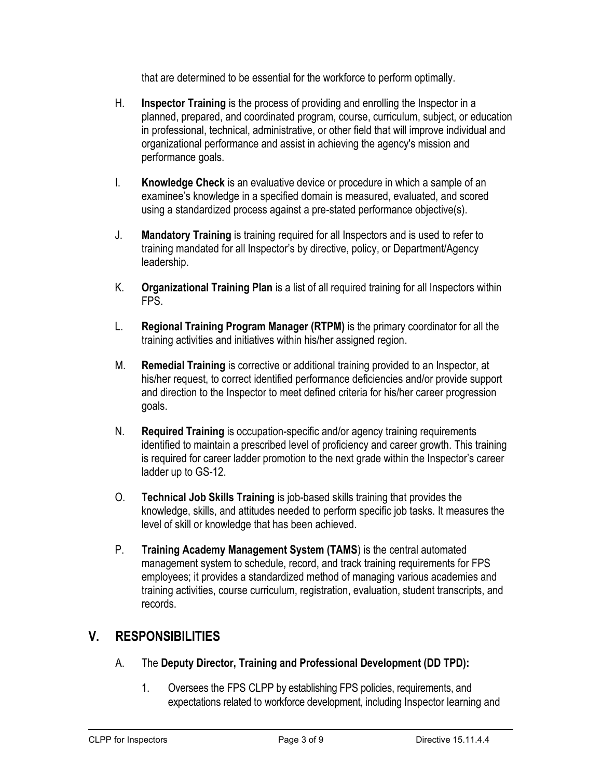that are determined to be essential for the workforce to perform optimally.

- H. **Inspector Training** is the process of providing and enrolling the Inspector in a planned, prepared, and coordinated program, course, curriculum, subject, or education in professional, technical, administrative, or other field that will improve individual and organizational performance and assist in achieving the agency's mission and performance goals.
- I. **Knowledge Check** is an evaluative device or procedure in which a sample of an examinee's knowledge in a specified domain is measured, evaluated, and scored using a standardized process against a pre-stated performance objective(s).
- J. **Mandatory Training** is training required for all Inspectors and is used to refer to training mandated for all Inspector's by directive, policy, or Department/Agency leadership.
- K. **Organizational Training Plan** is a list of all required training for all Inspectors within FPS.
- L. **Regional Training Program Manager (RTPM)** is the primary coordinator for all the training activities and initiatives within his/her assigned region.
- M. **Remedial Training** is corrective or additional training provided to an Inspector, at his/her request, to correct identified performance deficiencies and/or provide support and direction to the Inspector to meet defined criteria for his/her career progression goals.
- N. **Required Training** is occupation-specific and/or agency training requirements identified to maintain a prescribed level of proficiency and career growth. This training is required for career ladder promotion to the next grade within the Inspector's career ladder up to GS-12.
- O. **Technical Job Skills Training** is job-based skills training that provides the knowledge, skills, and attitudes needed to perform specific job tasks. It measures the level of skill or knowledge that has been achieved.
- P. **Training Academy Management System (TAMS**) is the central automated management system to schedule, record, and track training requirements for FPS employees; it provides a standardized method of managing various academies and training activities, course curriculum, registration, evaluation, student transcripts, and records.

# **V. RESPONSIBILITIES**

- A. The **Deputy Director, Training and Professional Development (DD TPD):**
	- 1. Oversees the FPS CLPP by establishing FPS policies, requirements, and expectations related to workforce development, including Inspector learning and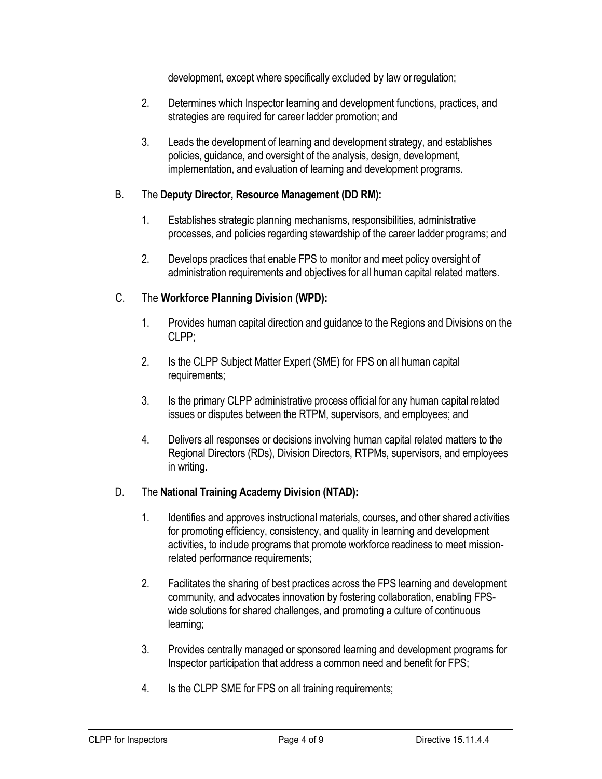development, except where specifically excluded by law orregulation;

- 2. Determines which Inspector learning and development functions, practices, and strategies are required for career ladder promotion; and
- 3. Leads the development of learning and development strategy, and establishes policies, guidance, and oversight of the analysis, design, development, implementation, and evaluation of learning and development programs.

#### B. The **Deputy Director, Resource Management (DD RM):**

- 1. Establishes strategic planning mechanisms, responsibilities, administrative processes, and policies regarding stewardship of the career ladder programs; and
- 2. Develops practices that enable FPS to monitor and meet policy oversight of administration requirements and objectives for all human capital related matters.

#### C. The **Workforce Planning Division (WPD):**

- 1. Provides human capital direction and guidance to the Regions and Divisions on the CLPP;
- 2. Is the CLPP Subject Matter Expert (SME) for FPS on all human capital requirements;
- 3. Is the primary CLPP administrative process official for any human capital related issues or disputes between the RTPM, supervisors, and employees; and
- 4. Delivers all responses or decisions involving human capital related matters to the Regional Directors (RDs), Division Directors, RTPMs, supervisors, and employees in writing.

#### D. The **National Training Academy Division (NTAD):**

- 1. Identifies and approves instructional materials, courses, and other shared activities for promoting efficiency, consistency, and quality in learning and development activities, to include programs that promote workforce readiness to meet missionrelated performance requirements;
- 2. Facilitates the sharing of best practices across the FPS learning and development community, and advocates innovation by fostering collaboration, enabling FPSwide solutions for shared challenges, and promoting a culture of continuous learning;
- 3. Provides centrally managed or sponsored learning and development programs for Inspector participation that address a common need and benefit for FPS;
- 4. Is the CLPP SME for FPS on all training requirements;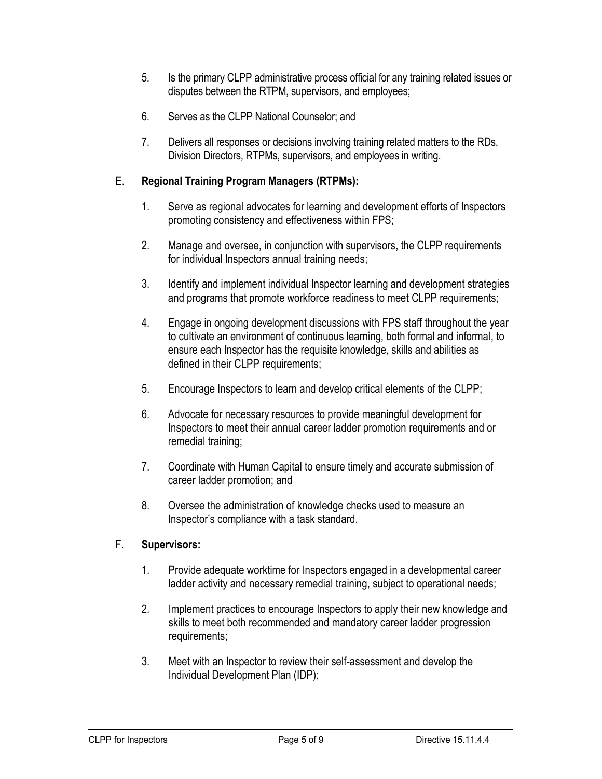- 5. Is the primary CLPP administrative process official for any training related issues or disputes between the RTPM, supervisors, and employees;
- 6. Serves as the CLPP National Counselor; and
- 7. Delivers all responses or decisions involving training related matters to the RDs, Division Directors, RTPMs, supervisors, and employees in writing.

#### E. **Regional Training Program Managers (RTPMs):**

- 1. Serve as regional advocates for learning and development efforts of Inspectors promoting consistency and effectiveness within FPS;
- 2. Manage and oversee, in conjunction with supervisors, the CLPP requirements for individual Inspectors annual training needs;
- 3. Identify and implement individual Inspector learning and development strategies and programs that promote workforce readiness to meet CLPP requirements;
- 4. Engage in ongoing development discussions with FPS staff throughout the year to cultivate an environment of continuous learning, both formal and informal, to ensure each Inspector has the requisite knowledge, skills and abilities as defined in their CLPP requirements;
- 5. Encourage Inspectors to learn and develop critical elements of the CLPP;
- 6. Advocate for necessary resources to provide meaningful development for Inspectors to meet their annual career ladder promotion requirements and or remedial training;
- 7. Coordinate with Human Capital to ensure timely and accurate submission of career ladder promotion; and
- 8. Oversee the administration of knowledge checks used to measure an Inspector's compliance with a task standard.

#### F. **Supervisors:**

- 1. Provide adequate worktime for Inspectors engaged in a developmental career ladder activity and necessary remedial training, subject to operational needs;
- 2. Implement practices to encourage Inspectors to apply their new knowledge and skills to meet both recommended and mandatory career ladder progression requirements;
- 3. Meet with an Inspector to review their self-assessment and develop the Individual Development Plan (IDP);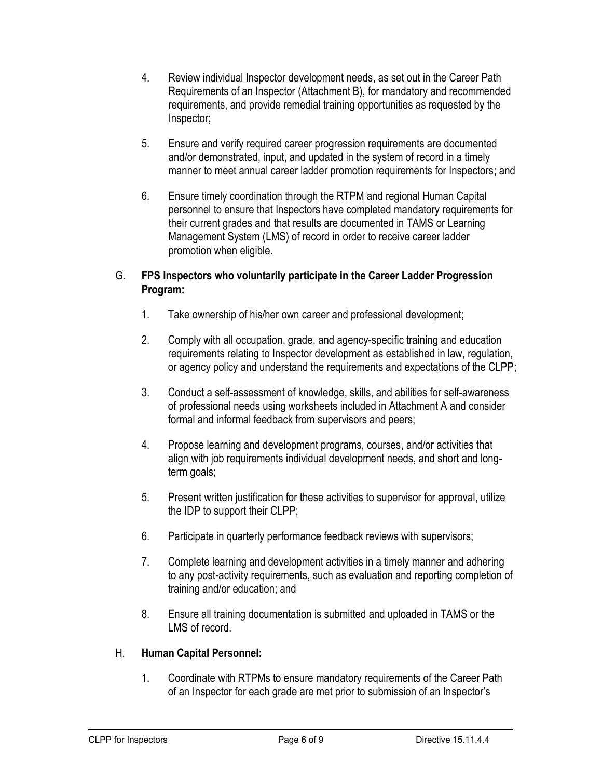- 4. Review individual Inspector development needs, as set out in the Career Path Requirements of an Inspector (Attachment B), for mandatory and recommended requirements, and provide remedial training opportunities as requested by the Inspector;
- 5. Ensure and verify required career progression requirements are documented and/or demonstrated, input, and updated in the system of record in a timely manner to meet annual career ladder promotion requirements for Inspectors; and
- 6. Ensure timely coordination through the RTPM and regional Human Capital personnel to ensure that Inspectors have completed mandatory requirements for their current grades and that results are documented in TAMS or Learning Management System (LMS) of record in order to receive career ladder promotion when eligible.

#### G. **FPS Inspectors who voluntarily participate in the Career Ladder Progression Program:**

- 1. Take ownership of his/her own career and professional development;
- 2. Comply with all occupation, grade, and agency-specific training and education requirements relating to Inspector development as established in law, regulation, or agency policy and understand the requirements and expectations of the CLPP;
- 3. Conduct a self-assessment of knowledge, skills, and abilities for self-awareness of professional needs using worksheets included in Attachment A and consider formal and informal feedback from supervisors and peers;
- 4. Propose learning and development programs, courses, and/or activities that align with job requirements individual development needs, and short and longterm goals;
- 5. Present written justification for these activities to supervisor for approval, utilize the IDP to support their CLPP;
- 6. Participate in quarterly performance feedback reviews with supervisors;
- 7. Complete learning and development activities in a timely manner and adhering to any post-activity requirements, such as evaluation and reporting completion of training and/or education; and
- 8. Ensure all training documentation is submitted and uploaded in TAMS or the LMS of record.

#### H. **Human Capital Personnel:**

1. Coordinate with RTPMs to ensure mandatory requirements of the Career Path of an Inspector for each grade are met prior to submission of an Inspector's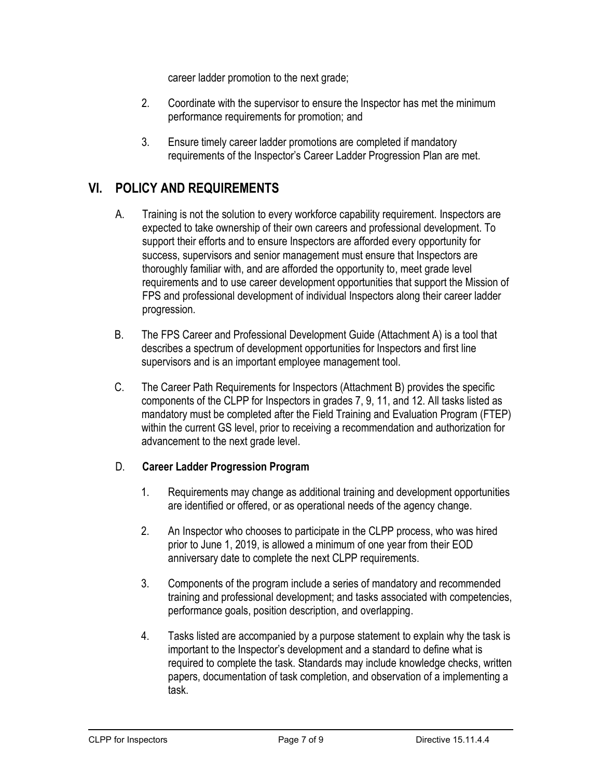career ladder promotion to the next grade;

- 2. Coordinate with the supervisor to ensure the Inspector has met the minimum performance requirements for promotion; and
- 3. Ensure timely career ladder promotions are completed if mandatory requirements of the Inspector's Career Ladder Progression Plan are met.

## **VI. POLICY AND REQUIREMENTS**

- A. Training is not the solution to every workforce capability requirement. Inspectors are expected to take ownership of their own careers and professional development. To support their efforts and to ensure Inspectors are afforded every opportunity for success, supervisors and senior management must ensure that Inspectors are thoroughly familiar with, and are afforded the opportunity to, meet grade level requirements and to use career development opportunities that support the Mission of FPS and professional development of individual Inspectors along their career ladder progression.
- B. The FPS Career and Professional Development Guide (Attachment A) is a tool that describes a spectrum of development opportunities for Inspectors and first line supervisors and is an important employee management tool.
- C. The Career Path Requirements for Inspectors (Attachment B) provides the specific components of the CLPP for Inspectors in grades 7, 9, 11, and 12. All tasks listed as mandatory must be completed after the Field Training and Evaluation Program (FTEP) within the current GS level, prior to receiving a recommendation and authorization for advancement to the next grade level.

#### D. **Career Ladder Progression Program**

- 1. Requirements may change as additional training and development opportunities are identified or offered, or as operational needs of the agency change.
- 2. An Inspector who chooses to participate in the CLPP process, who was hired prior to June 1, 2019, is allowed a minimum of one year from their EOD anniversary date to complete the next CLPP requirements.
- 3. Components of the program include a series of mandatory and recommended training and professional development; and tasks associated with competencies, performance goals, position description, and overlapping.
- 4. Tasks listed are accompanied by a purpose statement to explain why the task is important to the Inspector's development and a standard to define what is required to complete the task. Standards may include knowledge checks, written papers, documentation of task completion, and observation of a implementing a task.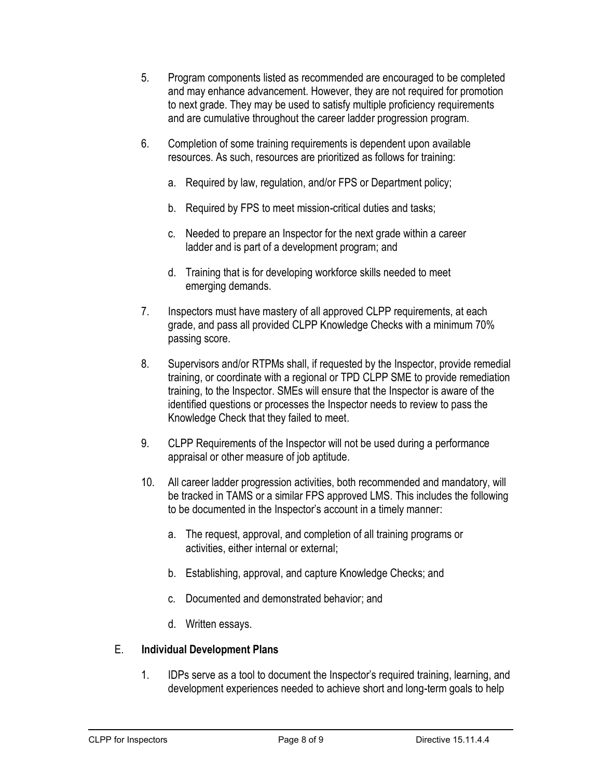- 5. Program components listed as recommended are encouraged to be completed and may enhance advancement. However, they are not required for promotion to next grade. They may be used to satisfy multiple proficiency requirements and are cumulative throughout the career ladder progression program.
- 6. Completion of some training requirements is dependent upon available resources. As such, resources are prioritized as follows for training:
	- a. Required by law, regulation, and/or FPS or Department policy;
	- b. Required by FPS to meet mission-critical duties and tasks;
	- c. Needed to prepare an Inspector for the next grade within a career ladder and is part of a development program; and
	- d. Training that is for developing workforce skills needed to meet emerging demands.
- 7. Inspectors must have mastery of all approved CLPP requirements, at each grade, and pass all provided CLPP Knowledge Checks with a minimum 70% passing score.
- 8. Supervisors and/or RTPMs shall, if requested by the Inspector, provide remedial training, or coordinate with a regional or TPD CLPP SME to provide remediation training, to the Inspector. SMEs will ensure that the Inspector is aware of the identified questions or processes the Inspector needs to review to pass the Knowledge Check that they failed to meet.
- 9. CLPP Requirements of the Inspector will not be used during a performance appraisal or other measure of job aptitude.
- 10. All career ladder progression activities, both recommended and mandatory, will be tracked in TAMS or a similar FPS approved LMS. This includes the following to be documented in the Inspector's account in a timely manner:
	- a. The request, approval, and completion of all training programs or activities, either internal or external;
	- b. Establishing, approval, and capture Knowledge Checks; and
	- c. Documented and demonstrated behavior; and
	- d. Written essays.

#### E. **Individual Development Plans**

1. IDPs serve as a tool to document the Inspector's required training, learning, and development experiences needed to achieve short and long-term goals to help